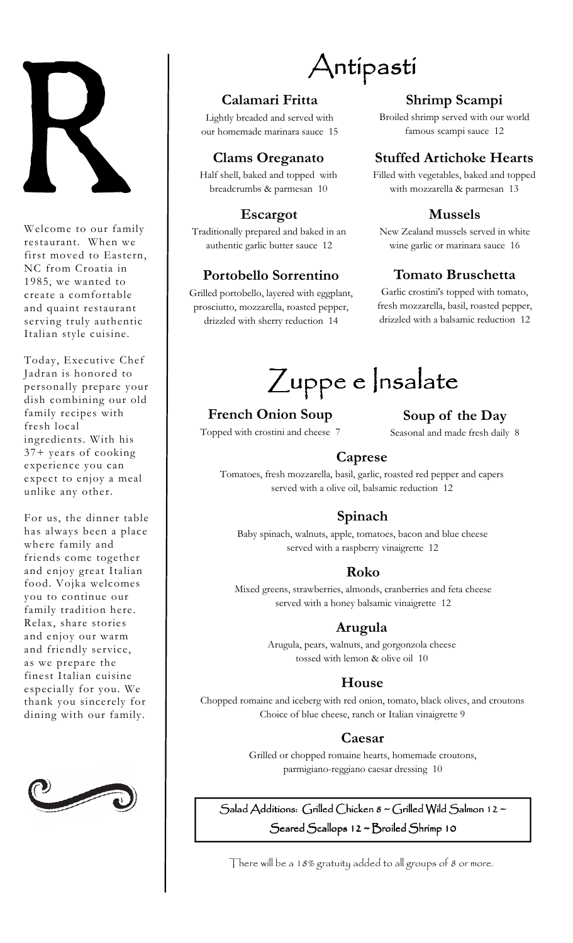

Welcome to our family restaurant. When we first moved to Eastern, NC from Croatia in 1985, we wanted to create a comfortable and quaint restaurant serving truly authentic Italian style cuisine.

Today, Executive Chef Jadran is honored to personally prepare your dish combining our old family recipes with fresh local ingredients. With his 37+ years of cooking experience you can expect to enjoy a meal unlike any other.

For us, the dinner table has always been a place where family and friends come together and enjoy great Italian food. Vojka welcomes you to continue our family tradition here. Relax, share stories and enjoy our warm and friendly service, as we prepare the finest Italian cuisine especially for you. We thank you sincerely for dining with our family.



# Antipasti

## **Calamari Fritta**

Lightly breaded and served with our homemade marinara sauce 15

## **Clams Oreganato**

Half shell, baked and topped with breadcrumbs & parmesan 10

#### **Escargot**

Traditionally prepared and baked in an authentic garlic butter sauce 12

## **Portobello Sorrentino**

Grilled portobello, layered with eggplant, prosciutto, mozzarella, roasted pepper, drizzled with sherry reduction 14

# **Shrimp Scampi**

Broiled shrimp served with our world famous scampi sauce 12

# **Stuffed Artichoke Hearts**

Filled with vegetables, baked and topped with mozzarella & parmesan 13

## **Mussels**

New Zealand mussels served in white wine garlic or marinara sauce 16

# **Tomato Bruschetta**

Garlic crostini's topped with tomato, fresh mozzarella, basil, roasted pepper, drizzled with a balsamic reduction 12

Zuppe e Insalate

# **French Onion Soup**

Topped with crostini and cheese 7

**Soup of the Day** 

Seasonal and made fresh daily 8

#### **Caprese**

Tomatoes, fresh mozzarella, basil, garlic, roasted red pepper and capers served with a olive oil, balsamic reduction 12

# **Spinach**

Baby spinach, walnuts, apple, tomatoes, bacon and blue cheese served with a raspberry vinaigrette 12

#### **Roko**

Mixed greens, strawberries, almonds, cranberries and feta cheese served with a honey balsamic vinaigrette 12

#### **Arugula**

Arugula, pears, walnuts, and gorgonzola cheese tossed with lemon & olive oil 10

#### **House**

Chopped romaine and iceberg with red onion, tomato, black olives, and croutons Choice of blue cheese, ranch or Italian vinaigrette 9

#### **Caesar**

Grilled or chopped romaine hearts, homemade croutons, parmigiano-reggiano caesar dressing 10

Salad Additions: Grilled Chicken  $8 \sim$  Grilled Wild Salmon 12  $\sim$ Seared Scallops 12 ~ Broiled Shrimp 10

There will be a 18% gratuity added to all groups of 8 or more.